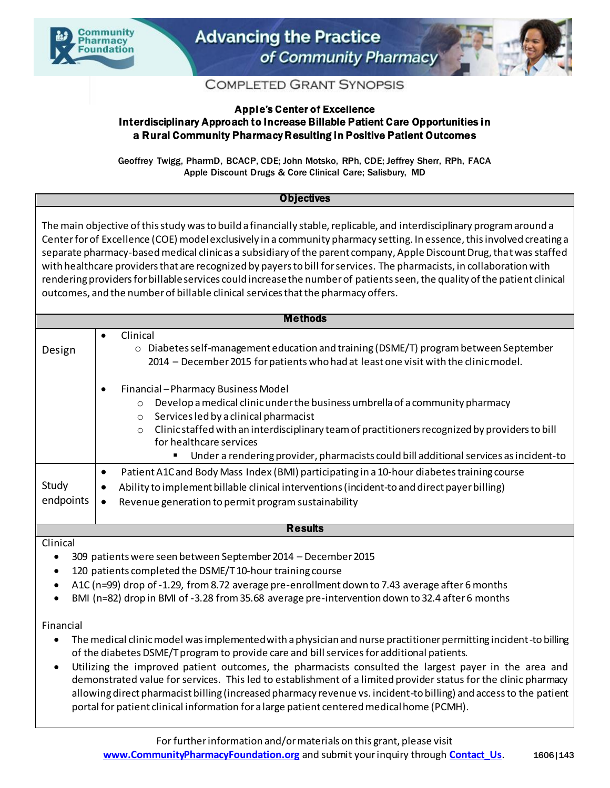



## **COMPLETED GRANT SYNOPSIS**

## Apple's Center of Excellence Interdisciplinary Approach to Increase Billable Patient Care Opportunities in a Rural Community Pharmacy Resulting in Positive Patient Outcomes

Geoffrey Twigg, PharmD, BCACP, CDE; John Motsko, RPh, CDE; Jeffrey Sherr, RPh, FACA Apple Discount Drugs & Core Clinical Care; Salisbury, MD

## **Objectives**

The main objective of this study was to build a financially stable, replicable, and interdisciplinary program around a Center for of Excellence (COE) model exclusively in a community pharmacy setting. In essence, this involved creating a separate pharmacy-basedmedical clinic as a subsidiary of the parent company, Apple Discount Drug, that was staffed with healthcare providers that are recognized by payers to bill for services. The pharmacists, in collaboration with rendering providers for billable services could increase the number of patients seen, the quality of the patient clinical outcomes, and the number of billable clinical services that the pharmacy offers.

| Methods            |                                                                                                                                                                                                                                                                                                                                                                                                                               |
|--------------------|-------------------------------------------------------------------------------------------------------------------------------------------------------------------------------------------------------------------------------------------------------------------------------------------------------------------------------------------------------------------------------------------------------------------------------|
| Design             | Clinical<br>$\bullet$<br>Diabetes self-management education and training (DSME/T) program between September<br>$\circ$<br>2014 - December 2015 for patients who had at least one visit with the clinic model.                                                                                                                                                                                                                 |
|                    | Financial - Pharmacy Business Model<br>٠<br>Develop a medical clinic under the business umbrella of a community pharmacy<br>$\circ$<br>Services led by a clinical pharmacist<br>$\circ$<br>Clinic staffed with an interdisciplinary team of practitioners recognized by providers to bill<br>$\circ$<br>for healthcare services<br>Under a rendering provider, pharmacists could bill additional services as incident-to<br>٠ |
| Study<br>endpoints | Patient A1C and Body Mass Index (BMI) participating in a 10-hour diabetes training course<br>٠<br>Ability to implement billable clinical interventions (incident-to and direct payer billing)<br>٠<br>Revenue generation to permit program sustainability<br>$\bullet$                                                                                                                                                        |
| <b>Results</b>     |                                                                                                                                                                                                                                                                                                                                                                                                                               |

Clinical

309 patients were seen between September 2014 – December 2015

- 120 patients completed the DSME/T 10-hour training course
- A1C (n=99) drop of -1.29, from 8.72 average pre-enrollment down to 7.43 average after 6 months
- BMI (n=82) drop in BMI of -3.28 from 35.68 average pre-intervention down to 32.4 after 6 months

Financial

- The medical clinic model was implemented with a physician and nurse practitioner permitting incident-to billing of the diabetes DSME/T program to provide care and bill services for additional patients.
- Utilizing the improved patient outcomes, the pharmacists consulted the largest payer in the area and demonstrated value for services. This led to establishment of a limited provider status for the clinic pharmacy allowing direct pharmacist billing (increased pharmacy revenue vs. incident-to billing) and access to the patient portal for patient clinical information for a large patient centered medical home (PCMH).